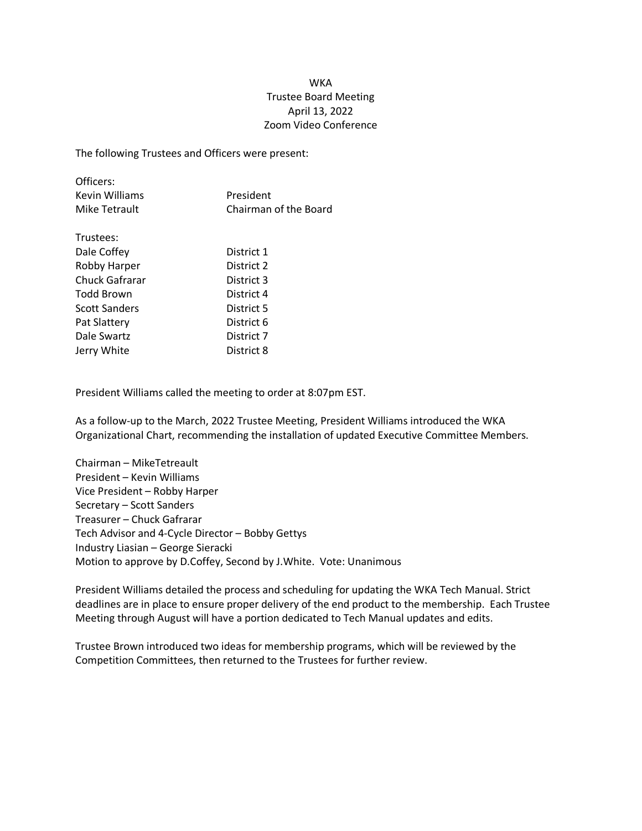## **WKA** Trustee Board Meeting April 13, 2022 Zoom Video Conference

The following Trustees and Officers were present:

| Officers:      |                       |
|----------------|-----------------------|
| Kevin Williams | President             |
| Mike Tetrault  | Chairman of the Board |

| Trustees:             |            |
|-----------------------|------------|
| Dale Coffey           | District 1 |
| <b>Robby Harper</b>   | District 2 |
| <b>Chuck Gafrarar</b> | District 3 |
| Todd Brown            | District 4 |
| <b>Scott Sanders</b>  | District 5 |
| Pat Slattery          | District 6 |
| Dale Swartz           | District 7 |
| Jerry White           | District 8 |

President Williams called the meeting to order at 8:07pm EST.

As a follow-up to the March, 2022 Trustee Meeting, President Williams introduced the WKA Organizational Chart, recommending the installation of updated Executive Committee Members.

Chairman – MikeTetreault President – Kevin Williams Vice President – Robby Harper Secretary – Scott Sanders Treasurer – Chuck Gafrarar Tech Advisor and 4-Cycle Director – Bobby Gettys Industry Liasian – George Sieracki Motion to approve by D.Coffey, Second by J.White. Vote: Unanimous

President Williams detailed the process and scheduling for updating the WKA Tech Manual. Strict deadlines are in place to ensure proper delivery of the end product to the membership. Each Trustee Meeting through August will have a portion dedicated to Tech Manual updates and edits.

Trustee Brown introduced two ideas for membership programs, which will be reviewed by the Competition Committees, then returned to the Trustees for further review.